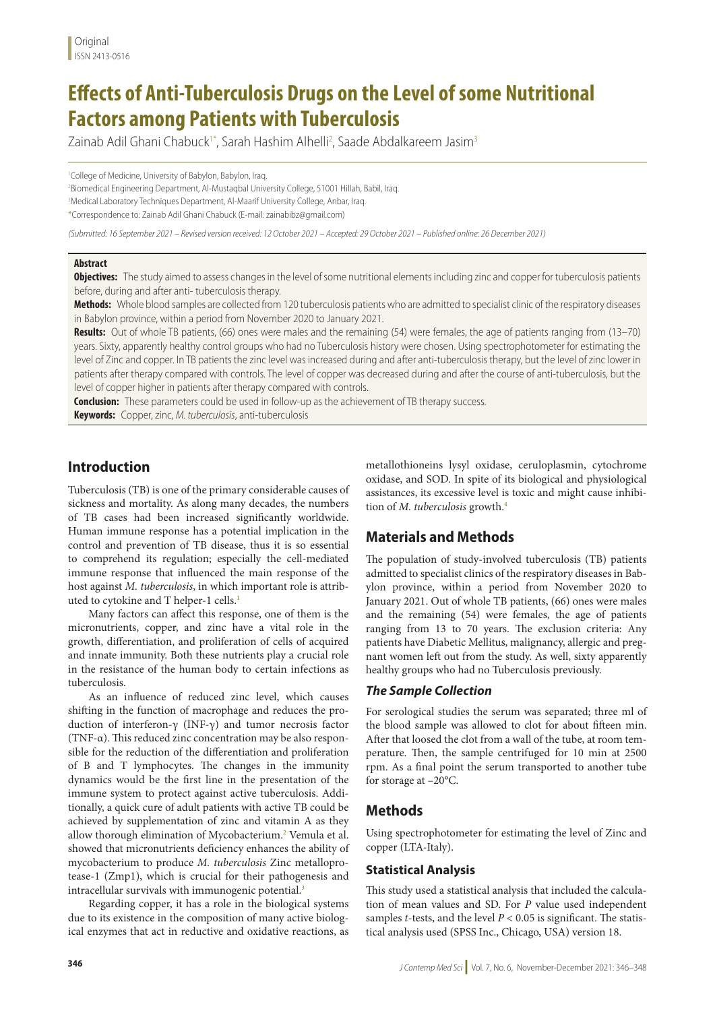# **Effects of Anti-Tuberculosis Drugs on the Level of some Nutritional Factors among Patients with Tuberculosis**

Zainab Adil Ghani Chabuck<sup>i\*</sup>, Sarah Hashim Alhelli<sup>2</sup>, Saade Abdalkareem Jasim<sup>3</sup>

1 College of Medicine, University of Babylon, Babylon, Iraq.

2 Biomedical Engineering Department, Al-Mustaqbal University College, 51001 Hillah, Babil, Iraq. <sup>3</sup>Medical Laboratory Techniques Department, Al-Maarif University College, Anbar, Iraq. \*Correspondence to: Zainab Adil Ghani Chabuck (E-mail: zainabibz@gmail.com)

*(Submitted: 16 September 2021 – Revised version received: 12 October 2021 – Accepted: 29 October 2021 – Published online: 26 December 2021)*

#### **Abstract**

**Objectives:** The study aimed to assess changes in the level of some nutritional elements including zinc and copper for tuberculosis patients before, during and after anti- tuberculosis therapy.

**Methods:** Whole blood samples are collected from 120 tuberculosis patients who are admitted to specialist clinic of the respiratory diseases in Babylon province, within a period from November 2020 to January 2021.

**Results:** Out of whole TB patients, (66) ones were males and the remaining (54) were females, the age of patients ranging from (13–70) years. Sixty, apparently healthy control groups who had no Tuberculosis history were chosen. Using spectrophotometer for estimating the level of Zinc and copper. In TB patients the zinc level was increased during and after anti-tuberculosis therapy, but the level of zinc lower in patients after therapy compared with controls. The level of copper was decreased during and after the course of anti-tuberculosis, but the level of copper higher in patients after therapy compared with controls.

**Conclusion:** These parameters could be used in follow-up as the achievement of TB therapy success. **Keywords:** Copper, zinc, *M. tuberculosis*, anti-tuberculosis

## **Introduction**

Tuberculosis (TB) is one of the primary considerable causes of sickness and mortality. As along many decades, the numbers of TB cases had been increased significantly worldwide. Human immune response has a potential implication in the control and prevention of TB disease, thus it is so essential to comprehend its regulation; especially the cell-mediated immune response that influenced the main response of the host against *M. tuberculosis*, in which important role is attributed to cytokine and T helper-1 cells.<sup>1</sup>

Many factors can affect this response, one of them is the micronutrients, copper, and zinc have a vital role in the growth, differentiation, and proliferation of cells of acquired and innate immunity. Both these nutrients play a crucial role in the resistance of the human body to certain infections as tuberculosis.

As an influence of reduced zinc level, which causes shifting in the function of macrophage and reduces the production of interferon-γ (INF-γ) and tumor necrosis factor (TNF-α). This reduced zinc concentration may be also responsible for the reduction of the differentiation and proliferation of B and T lymphocytes. The changes in the immunity dynamics would be the first line in the presentation of the immune system to protect against active tuberculosis. Additionally, a quick cure of adult patients with active TB could be achieved by supplementation of zinc and vitamin A as they allow thorough elimination of Mycobacterium.<sup>2</sup> Vemula et al. showed that micronutrients deficiency enhances the ability of mycobacterium to produce *M. tuberculosis* Zinc metalloprotease-1 (Zmp1), which is crucial for their pathogenesis and intracellular survivals with immunogenic potential.<sup>3</sup>

Regarding copper, it has a role in the biological systems due to its existence in the composition of many active biological enzymes that act in reductive and oxidative reactions, as metallothioneins lysyl oxidase, ceruloplasmin, cytochrome oxidase, and SOD. In spite of its biological and physiological assistances, its excessive level is toxic and might cause inhibition of *M. tuberculosis* growth.4

# **Materials and Methods**

The population of study-involved tuberculosis (TB) patients admitted to specialist clinics of the respiratory diseases in Babylon province, within a period from November 2020 to January 2021. Out of whole TB patients, (66) ones were males and the remaining (54) were females, the age of patients ranging from 13 to 70 years. The exclusion criteria: Any patients have Diabetic Mellitus, malignancy, allergic and pregnant women left out from the study. As well, sixty apparently healthy groups who had no Tuberculosis previously.

#### *The Sample Collection*

For serological studies the serum was separated; three ml of the blood sample was allowed to clot for about fifteen min. After that loosed the clot from a wall of the tube, at room temperature. Then, the sample centrifuged for 10 min at 2500 rpm. As a final point the serum transported to another tube for storage at –20°C.

## **Methods**

Using spectrophotometer for estimating the level of Zinc and copper (LTA-Italy).

#### **Statistical Analysis**

This study used a statistical analysis that included the calculation of mean values and SD. For *P* value used independent samples *t*-tests, and the level  $P < 0.05$  is significant. The statistical analysis used (SPSS Inc., Chicago, USA) version 18.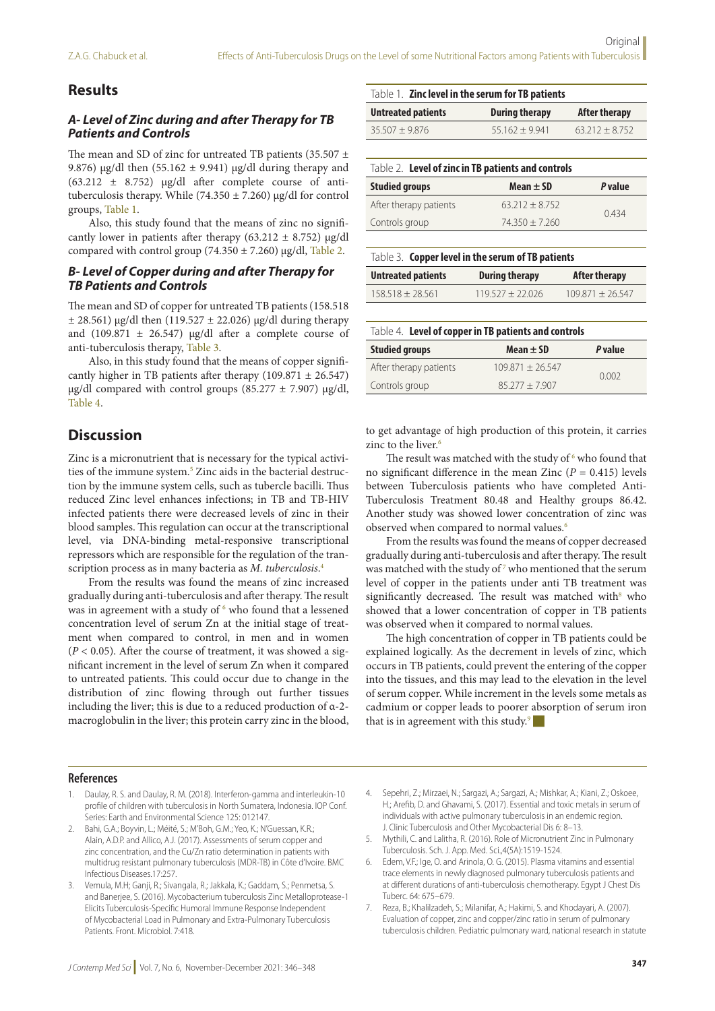## **Results**

## *A- Level of Zinc during and after Therapy for TB Patients and Controls*

The mean and SD of zinc for untreated TB patients (35.507  $\pm$ 9.876) μg/dl then (55.162  $\pm$  9.941) μg/dl during therapy and (63.212  $\pm$  8.752) μg/dl after complete course of antituberculosis therapy. While (74.350 ± 7.260) μg/dl for control groups, Table 1.

Also, this study found that the means of zinc no significantly lower in patients after therapy (63.212  $\pm$  8.752) μg/dl compared with control group (74.350 ± 7.260) μg/dl, Table 2.

#### *B- Level of Copper during and after Therapy for TB Patients and Controls*

The mean and SD of copper for untreated TB patients (158.518  $\pm$  28.561) μg/dl then (119.527  $\pm$  22.026) μg/dl during therapy and (109.871  $\pm$  26.547) μg/dl after a complete course of anti-tuberculosis therapy, Table 3.

Also, in this study found that the means of copper significantly higher in TB patients after therapy  $(109.871 \pm 26.547)$ μg/dl compared with control groups (85.277  $\pm$  7.907) μg/dl, Table 4.

## **Discussion**

Zinc is a micronutrient that is necessary for the typical activities of the immune system.<sup>5</sup> Zinc aids in the bacterial destruction by the immune system cells, such as tubercle bacilli. Thus reduced Zinc level enhances infections; in TB and TB-HIV infected patients there were decreased levels of zinc in their blood samples. This regulation can occur at the transcriptional level, via DNA-binding metal-responsive transcriptional repressors which are responsible for the regulation of the transcription process as in many bacteria as *M. tuberculosis*. 4

From the results was found the means of zinc increased gradually during anti-tuberculosis and after therapy. The result was in agreement with a study of  $6$  who found that a lessened concentration level of serum Zn at the initial stage of treatment when compared to control, in men and in women  $(P < 0.05)$ . After the course of treatment, it was showed a significant increment in the level of serum Zn when it compared to untreated patients. This could occur due to change in the distribution of zinc flowing through out further tissues including the liver; this is due to a reduced production of α-2 macroglobulin in the liver; this protein carry zinc in the blood,

|                           | Table 1. Zinc level in the serum for TB patients |                      |  |
|---------------------------|--------------------------------------------------|----------------------|--|
| <b>Untreated patients</b> | <b>During therapy</b>                            | <b>After therapy</b> |  |
| $35.507 + 9.876$          | $55.162 + 9.941$                                 | $63.212 + 8.752$     |  |

| Table 2. Level of zinc in TB patients and controls |                  |                |  |
|----------------------------------------------------|------------------|----------------|--|
| <b>Studied groups</b>                              | Mean $\pm$ SD    | <i>P</i> value |  |
| After therapy patients                             | $63.212 + 8.752$ | 0434           |  |
| Controls group                                     | $74.350 + 7.260$ |                |  |
|                                                    |                  |                |  |

| Table 3. Copper level in the serum of TB patients |                           |                       |               |
|---------------------------------------------------|---------------------------|-----------------------|---------------|
|                                                   | <b>Untreated patients</b> | <b>During therapy</b> | After therapy |

| $158.518 + 28.561$ | $119527 + 22026$ | $109871 + 26547$ |
|--------------------|------------------|------------------|
|                    |                  |                  |

| Table 4. Level of copper in TB patients and controls |                    |                |  |
|------------------------------------------------------|--------------------|----------------|--|
| <b>Studied groups</b>                                | Mean $\pm$ SD      | <i>P</i> value |  |
| After therapy patients                               | $109.871 + 26.547$ | 0.002          |  |
| Controls group                                       | $85277 + 7907$     |                |  |

to get advantage of high production of this protein, it carries zinc to the liver.<sup>6</sup>

The result was matched with the study of  $6$  who found that no significant difference in the mean Zinc  $(P = 0.415)$  levels between Tuberculosis patients who have completed Anti-Tuberculosis Treatment 80.48 and Healthy groups 86.42. Another study was showed lower concentration of zinc was observed when compared to normal values.6

From the results was found the means of copper decreased gradually during anti-tuberculosis and after therapy. The result was matched with the study of  $7$  who mentioned that the serum level of copper in the patients under anti TB treatment was significantly decreased. The result was matched with $8$  who showed that a lower concentration of copper in TB patients was observed when it compared to normal values.

The high concentration of copper in TB patients could be explained logically. As the decrement in levels of zinc, which occurs in TB patients, could prevent the entering of the copper into the tissues, and this may lead to the elevation in the level of serum copper. While increment in the levels some metals as cadmium or copper leads to poorer absorption of serum iron that is in agreement with this study. $\theta$ 

#### **References**

- 1. Daulay, R. S. and Daulay, R. M. (2018). Interferon-gamma and interleukin-10 profile of children with tuberculosis in North Sumatera, Indonesia. IOP Conf. Series: Earth and Environmental Science 125: 012147.
- 2. Bahi, G.A.; Boyvin, L.; Méité, S.; M'Boh, G.M.; Yeo, K.; N'Guessan, K.R.; Alain, A.D.P. and Allico, A.J. (2017). Assessments of serum copper and zinc concentration, and the Cu/Zn ratio determination in patients with multidrug resistant pulmonary tuberculosis (MDR-TB) in Côte d'Ivoire. BMC Infectious Diseases.17:257.
- 3. Vemula, M.H; Ganji, R.; Sivangala, R.; Jakkala, K.; Gaddam, S.; Penmetsa, S. and Banerjee, S. (2016). Mycobacterium tuberculosis Zinc Metalloprotease-1 Elicits Tuberculosis-Specific Humoral Immune Response Independent of Mycobacterial Load in Pulmonary and Extra-Pulmonary Tuberculosis Patients. Front. Microbiol. 7:418.
- 4. Sepehri, Z.; Mirzaei, N.; Sargazi, A.; Sargazi, A.; Mishkar, A.; Kiani, Z.; Oskoee, H.; Arefib, D. and Ghavami, S. (2017). Essential and toxic metals in serum of individuals with active pulmonary tuberculosis in an endemic region. J. Clinic Tuberculosis and Other Mycobacterial Dis 6: 8–13.
- 5. Mythili, C. and Lalitha, R. (2016). Role of Micronutrient Zinc in Pulmonary Tuberculosis. Sch. J. App. Med. Sci.,4(5A):1519-1524.
- 6. Edem, V.F.; Ige, O. and Arinola, O. G. (2015). Plasma vitamins and essential trace elements in newly diagnosed pulmonary tuberculosis patients and at different durations of anti-tuberculosis chemotherapy. Egypt J Chest Dis Tuberc. 64: 675–679.
- 7. Reza, B.; Khalilzadeh, S.; Milanifar, A.; Hakimi, S. and Khodayari, A. (2007). Evaluation of copper, zinc and copper/zinc ratio in serum of pulmonary tuberculosis children. Pediatric pulmonary ward, national research in statute